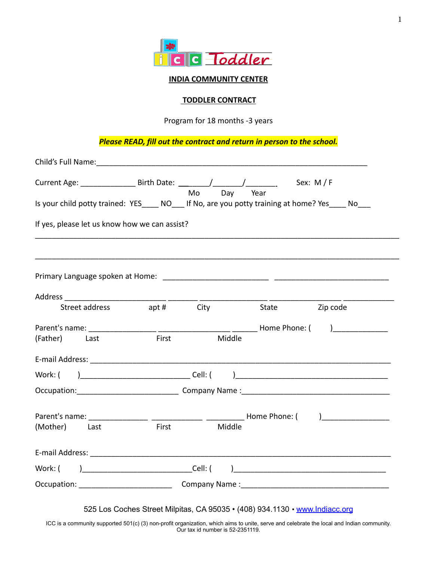

#### **INDIA COMMUNITY CENTER**

#### **TODDLER CONTRACT**

Program for 18 months -3 years

*Please READ, fill out the contract and return in person to the school.*

| Current Age: ______________________ Birth Date: _________/______________________  |            |    |        |                | Sex: $M/F$ |
|-----------------------------------------------------------------------------------|------------|----|--------|----------------|------------|
| Is your child potty trained: YES NO If No, are you potty training at home? Yes No |            | Mo | Day    | Year           |            |
| If yes, please let us know how we can assist?                                     |            |    |        |                |            |
|                                                                                   |            |    |        |                |            |
|                                                                                   |            |    |        |                |            |
| Street address                                                                    | apt # City |    |        | State Zip code |            |
|                                                                                   |            |    |        |                |            |
| (Father) Last                                                                     | First      |    | Middle |                |            |
|                                                                                   |            |    |        |                |            |
| Work: (                                                                           |            |    |        |                |            |
|                                                                                   |            |    |        |                |            |
|                                                                                   |            |    |        |                |            |
| (Mother) Last                                                                     | First      |    | Middle |                |            |
|                                                                                   |            |    |        |                |            |
| Work: (                                                                           |            |    |        |                |            |
|                                                                                   |            |    |        |                |            |

1

ICC is a community supported 501(c) (3) non-profit organization, which aims to unite, serve and celebrate the local and Indian community. Our tax id number is 52-2351119.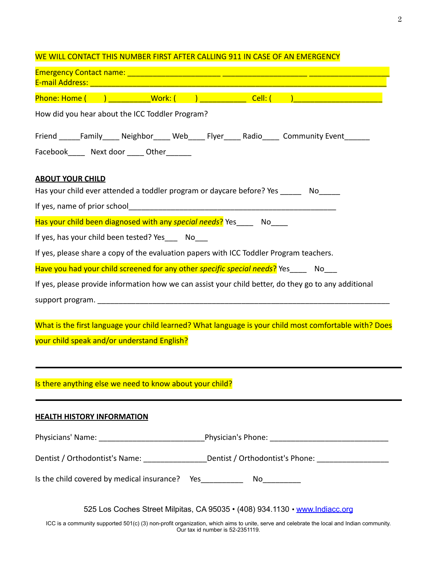| E-mail Address: William March 2014 - Change and Change and Change and Change and Change and Change and Change and |                                                                             |  |                                                                                                        |
|-------------------------------------------------------------------------------------------------------------------|-----------------------------------------------------------------------------|--|--------------------------------------------------------------------------------------------------------|
|                                                                                                                   |                                                                             |  | Phone: Home ( ) __________Work: ( ) _____________ Cell: ( ) ____________________                       |
| How did you hear about the ICC Toddler Program?                                                                   |                                                                             |  |                                                                                                        |
|                                                                                                                   |                                                                             |  | Friend ______Family______ Neighbor______ Web______ Flyer_____ Radio______ Community Event________      |
| Facebook______ Next door _____ Other_______                                                                       |                                                                             |  |                                                                                                        |
|                                                                                                                   |                                                                             |  |                                                                                                        |
| <b>ABOUT YOUR CHILD</b>                                                                                           |                                                                             |  |                                                                                                        |
| Has your child ever attended a toddler program or daycare before? Yes _______ No_____                             |                                                                             |  |                                                                                                        |
|                                                                                                                   |                                                                             |  |                                                                                                        |
| Has your child been diagnosed with any special needs? Yes____ No____                                              |                                                                             |  |                                                                                                        |
| If yes, has your child been tested? Yes _____ No____                                                              |                                                                             |  |                                                                                                        |
| If yes, please share a copy of the evaluation papers with ICC Toddler Program teachers.                           |                                                                             |  |                                                                                                        |
| Have you had your child screened for any other specific special needs? Yes____ No___                              |                                                                             |  |                                                                                                        |
|                                                                                                                   |                                                                             |  | If yes, please provide information how we can assist your child better, do they go to any additional   |
|                                                                                                                   |                                                                             |  |                                                                                                        |
| your child speak and/or understand English?                                                                       |                                                                             |  | What is the first language your child learned? What language is your child most comfortable with? Does |
| Is there anything else we need to know about your child?                                                          |                                                                             |  |                                                                                                        |
| <b>HEALTH HISTORY INFORMATION</b>                                                                                 |                                                                             |  |                                                                                                        |
|                                                                                                                   |                                                                             |  |                                                                                                        |
|                                                                                                                   |                                                                             |  | Dentist / Orthodontist's Name: ___________________Dentist / Orthodontist's Phone: _________________    |
| Is the child covered by medical insurance? Yes__________________________________                                  |                                                                             |  |                                                                                                        |
|                                                                                                                   | 525 Los Coches Street Milpitas, CA 95035 · (408) 934.1130 · www.Indiacc.org |  |                                                                                                        |

ICC is a community supported 501(c) (3) non-profit organization, which aims to unite, serve and celebrate the local and Indian community. Our tax id number is 52-2351119.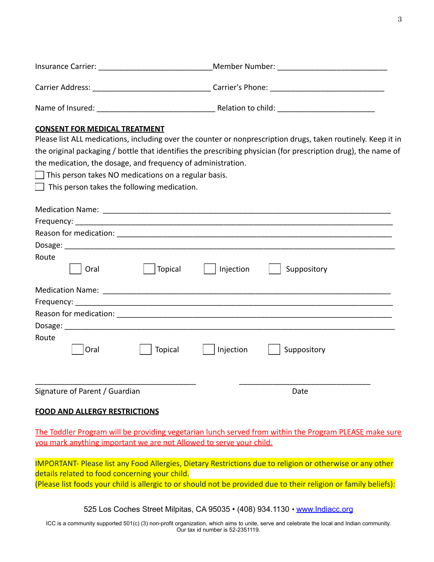| Route<br>Topical<br>Oral                                                                                                                                    | Injection | Suppository |
|-------------------------------------------------------------------------------------------------------------------------------------------------------------|-----------|-------------|
|                                                                                                                                                             |           |             |
|                                                                                                                                                             |           |             |
|                                                                                                                                                             |           |             |
|                                                                                                                                                             |           |             |
| Route<br><b>Topical</b><br>Oral                                                                                                                             | Injection | Suppository |
| Signature of Parent / Guardian                                                                                                                              |           | Date        |
| <b>FOOD AND ALLERGY RESTRICTIONS</b>                                                                                                                        |           |             |
| The Toddler Program will be providing vegetarian lunch served from within the Program PLEASE make sure                                                      |           |             |
| you mark anything important we are not Allowed to serve your child.                                                                                         |           |             |
| IMPORTANT- Please list any Food Allergies, Dietary Restrictions due to religion or otherwise or any other<br>details related to food concerning your child. |           |             |

(Please list foods your child is allergic to or should not be provided due to their religion or family beliefs):

525 Los Coches Street Milpitas, CA 95035 • (408) 934.1130 • [www.Indiacc.org](http://www.indiacc.org/)

ICC is a community supported 501(c) (3) non-profit organization, which aims to unite, serve and celebrate the local and Indian community. Our tax id number is 52-2351119.

# Insurance Carrier: etc. and the Member Number:  $\blacksquare$ Carrier Address: \_\_\_\_\_\_\_\_\_\_\_\_\_\_\_\_\_\_\_\_\_\_\_\_\_\_\_\_ Carrier's Phone: \_\_\_\_\_\_\_\_\_\_\_\_\_\_\_\_\_\_\_\_\_\_\_\_\_\_\_

Name of Insured: etc. and the Relation to child:  $\blacksquare$ 

## **CONSENT FOR MEDICAL TREATMENT**

Please list ALL medications, including over the counter or nonprescription drugs, taken routinely. Keep it in the original packaging / bottle that identifies the prescribing physician (for prescription drug), the name of the medication, the dosage, and frequency of administration.

 $\Box$  This person takes NO medications on a regular basis.

Medication Name: \_\_\_\_\_\_\_\_\_\_\_\_\_\_\_\_\_\_\_\_\_\_\_\_\_\_\_\_\_\_\_\_\_\_\_\_\_\_\_\_\_\_\_\_\_\_\_\_\_\_\_\_\_\_\_\_\_\_\_\_\_\_\_\_\_\_\_\_ Frequency: which is a set of the set of the set of the set of the set of the set of the set of the set of the set of the set of the set of the set of the set of the set of the set of the set of the set of the set of the se

 $\Box$  This person takes the following medication.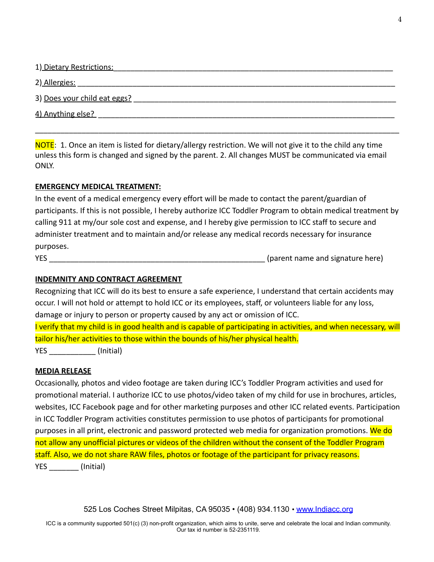| 1) Dietary Restrictions:     |
|------------------------------|
| 2) Allergies:                |
| 3) Does your child eat eggs? |
| 4) Anything else?            |
|                              |

NOTE: 1. Once an item is listed for dietary/allergy restriction. We will not give it to the child any time unless this form is changed and signed by the parent. 2. All changes MUST be communicated via email ONLY.

## **EMERGENCY MEDICAL TREATMENT:**

In the event of a medical emergency every effort will be made to contact the parent/guardian of participants. If this is not possible, I hereby authorize ICC Toddler Program to obtain medical treatment by calling 911 at my/our sole cost and expense, and I hereby give permission to ICC staff to secure and administer treatment and to maintain and/or release any medical records necessary for insurance purposes.

YES THE SUBSECTED ASSESSMENT ASSESSMENT AND RESIDENCE ASSESSMENT AND RESIDENCE ASSESSMENT AND RESIDENCE ASSESSMENT AND RESIDENCE ASSESSMENT AND RESIDENCE ASSESSMENT AND RESIDENCE ASSESSMENT AND RESIDENCE ASSESSMENT AND RES

## **INDEMNITY AND CONTRACT AGREEMENT**

Recognizing that ICC will do its best to ensure a safe experience, I understand that certain accidents may occur. I will not hold or attempt to hold ICC or its employees, staff, or volunteers liable for any loss, damage or injury to person or property caused by any act or omission of ICC.

I verify that my child is in good health and is capable of participating in activities, and when necessary, will tailor his/her activities to those within the bounds of his/her physical health. YES (Initial)

## **MEDIA RELEASE**

Occasionally, photos and video footage are taken during ICC's Toddler Program activities and used for promotional material. I authorize ICC to use photos/video taken of my child for use in brochures, articles, websites, ICC Facebook page and for other marketing purposes and other ICC related events. Participation in ICC Toddler Program activities constitutes permission to use photos of participants for promotional purposes in all print, electronic and password protected web media for organization promotions. We do not allow any unofficial pictures or videos of the children without the consent of the Toddler Program staff. Also, we do not share RAW files, photos or footage of the participant for privacy reasons. YES (Initial)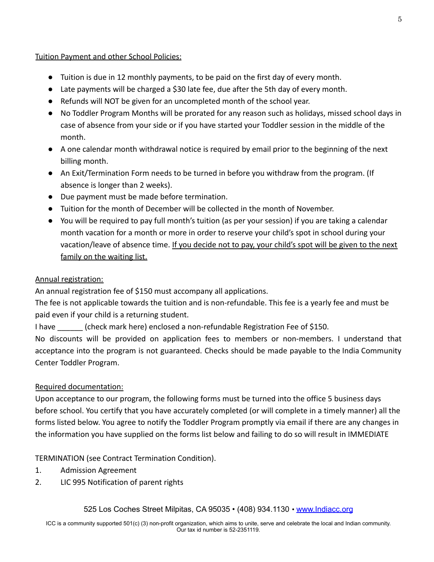## Tuition Payment and other School Policies:

- Tuition is due in 12 monthly payments, to be paid on the first day of every month.
- Late payments will be charged a \$30 late fee, due after the 5th day of every month.
- Refunds will NOT be given for an uncompleted month of the school year.
- No Toddler Program Months will be prorated for any reason such as holidays, missed school days in case of absence from your side or if you have started your Toddler session in the middle of the month.
- A one calendar month withdrawal notice is required by email prior to the beginning of the next billing month.
- An Exit/Termination Form needs to be turned in before you withdraw from the program. (If absence is longer than 2 weeks).
- Due payment must be made before termination.
- Tuition for the month of December will be collected in the month of November.
- You will be required to pay full month's tuition (as per your session) if you are taking a calendar month vacation for a month or more in order to reserve your child's spot in school during your vacation/leave of absence time. If you decide not to pay, your child's spot will be given to the next family on the waiting list.

## Annual registration:

An annual registration fee of \$150 must accompany all applications.

The fee is not applicable towards the tuition and is non-refundable. This fee is a yearly fee and must be paid even if your child is a returning student.

I have \_\_\_\_\_\_ (check mark here) enclosed a non-refundable Registration Fee of \$150.

No discounts will be provided on application fees to members or non-members. I understand that acceptance into the program is not guaranteed. Checks should be made payable to the India Community Center Toddler Program.

## Required documentation:

Upon acceptance to our program, the following forms must be turned into the office 5 business days before school. You certify that you have accurately completed (or will complete in a timely manner) all the forms listed below. You agree to notify the Toddler Program promptly via email if there are any changes in the information you have supplied on the forms list below and failing to do so will result in IMMEDIATE

TERMINATION (see Contract Termination Condition).

- 1. Admission Agreement
- 2. LIC 995 Notification of parent rights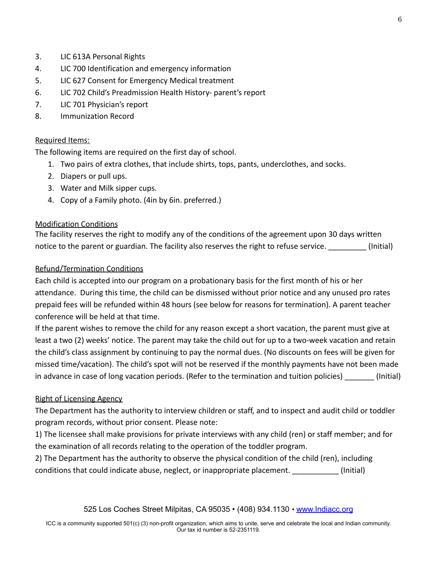- 3. LIC 613A Personal Rights
- 4. LIC 700 Identification and emergency information
- 5. LIC 627 Consent for Emergency Medical treatment
- 6. LIC 702 Child's Preadmission Health History- parent's report
- 7. LIC 701 Physician's report
- 8. Immunization Record

## Required Items:

The following items are required on the first day of school.

- 1. Two pairs of extra clothes, that include shirts, tops, pants, underclothes, and socks.
- 2. Diapers or pull ups.
- 3. Water and Milk sipper cups.
- 4. Copy of a Family photo. (4in by 6in. preferred.)

## Modification Conditions

The facility reserves the right to modify any of the conditions of the agreement upon 30 days written notice to the parent or guardian. The facility also reserves the right to refuse service. (Initial)

## Refund/Termination Conditions

Each child is accepted into our program on a probationary basis for the first month of his or her attendance. During this time, the child can be dismissed without prior notice and any unused pro rates prepaid fees will be refunded within 48 hours (see below for reasons for termination). A parent teacher conference will be held at that time.

If the parent wishes to remove the child for any reason except a short vacation, the parent must give at least a two (2) weeks' notice. The parent may take the child out for up to a two-week vacation and retain the child's class assignment by continuing to pay the normal dues. (No discounts on fees will be given for missed time/vacation). The child's spot will not be reserved if the monthly payments have not been made in advance in case of long vacation periods. (Refer to the termination and tuition policies) [Initial]

## Right of Licensing Agency

The Department has the authority to interview children or staff, and to inspect and audit child or toddler program records, without prior consent. Please note:

1) The licensee shall make provisions for private interviews with any child (ren) or staff member; and for the examination of all records relating to the operation of the toddler program.

2) The Department has the authority to observe the physical condition of the child (ren), including conditions that could indicate abuse, neglect, or inappropriate placement. \_\_\_\_\_\_\_\_\_\_\_ (Initial)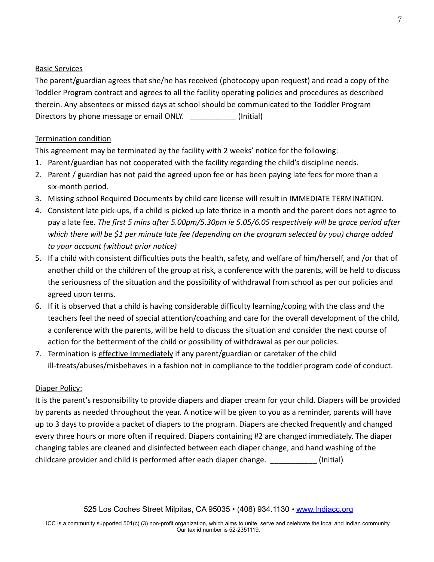#### Basic Services

The parent/guardian agrees that she/he has received (photocopy upon request) and read a copy of the Toddler Program contract and agrees to all the facility operating policies and procedures as described therein. Any absentees or missed days at school should be communicated to the Toddler Program Directors by phone message or email ONLY. [Initial]

#### Termination condition

This agreement may be terminated by the facility with 2 weeks' notice for the following:

- 1. Parent/guardian has not cooperated with the facility regarding the child's discipline needs.
- 2. Parent / guardian has not paid the agreed upon fee or has been paying late fees for more than a six-month period.
- 3. Missing school Required Documents by child care license will result in IMMEDIATE TERMINATION.
- 4. Consistent late pick-ups, if a child is picked up late thrice in a month and the parent does not agree to pay a late fee. *The first 5 mins after 5.00pm/5.30pm ie 5.05/6.05 respectively will be grace period after which there will be \$1 per minute late fee (depending on the program selected by you) charge added to your account (without prior notice)*
- 5. If a child with consistent difficulties puts the health, safety, and welfare of him/herself, and /or that of another child or the children of the group at risk, a conference with the parents, will be held to discuss the seriousness of the situation and the possibility of withdrawal from school as per our policies and agreed upon terms.
- 6. If it is observed that a child is having considerable difficulty learning/coping with the class and the teachers feel the need of special attention/coaching and care for the overall development of the child, a conference with the parents, will be held to discuss the situation and consider the next course of action for the betterment of the child or possibility of withdrawal as per our policies.
- 7. Termination is effective Immediately if any parent/guardian or caretaker of the child ill-treats/abuses/misbehaves in a fashion not in compliance to the toddler program code of conduct.

## Diaper Policy:

It is the parent's responsibility to provide diapers and diaper cream for your child. Diapers will be provided by parents as needed throughout the year. A notice will be given to you as a reminder, parents will have up to 3 days to provide a packet of diapers to the program. Diapers are checked frequently and changed every three hours or more often if required. Diapers containing #2 are changed immediately. The diaper changing tables are cleaned and disinfected between each diaper change, and hand washing of the childcare provider and child is performed after each diaper change. \_\_\_\_\_\_\_\_\_\_\_ (Initial)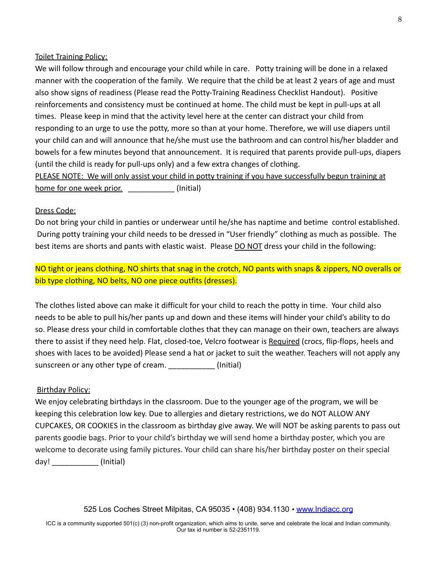#### Toilet Training Policy:

We will follow through and encourage your child while in care. Potty training will be done in a relaxed manner with the cooperation of the family. We require that the child be at least 2 years of age and must also show signs of readiness (Please read the Potty-Training Readiness Checklist Handout). Positive reinforcements and consistency must be continued at home. The child must be kept in pull-ups at all times. Please keep in mind that the activity level here at the center can distract your child from responding to an urge to use the potty, more so than at your home. Therefore, we will use diapers until your child can and will announce that he/she must use the bathroom and can control his/her bladder and bowels for a few minutes beyond that announcement. It is required that parents provide pull-ups, diapers (until the child is ready for pull-ups only) and a few extra changes of clothing.

PLEASE NOTE: We will only assist your child in potty training if you have successfully begun training at home for one week prior. **Example 20** (Initial)

#### Dress Code:

Do not bring your child in panties or underwear until he/she has naptime and betime control established. During potty training your child needs to be dressed in "User friendly" clothing as much as possible. The best items are shorts and pants with elastic waist. Please DO NOT dress your child in the following:

NO tight or jeans clothing, NO shirts that snag in the crotch, NO pants with snaps & zippers, NO overalls or bib type clothing, NO belts, NO one piece outfits (dresses).

The clothes listed above can make it difficult for your child to reach the potty in time. Your child also needs to be able to pull his/her pants up and down and these items will hinder your child's ability to do so. Please dress your child in comfortable clothes that they can manage on their own, teachers are always there to assist if they need help. Flat, closed-toe, Velcro footwear is Required (crocs, flip-flops, heels and shoes with laces to be avoided) Please send a hat or jacket to suit the weather. Teachers will not apply any sunscreen or any other type of cream. \_\_\_\_\_\_\_\_\_\_\_\_\_ (Initial)

#### Birthday Policy:

We enjoy celebrating birthdays in the classroom. Due to the younger age of the program, we will be keeping this celebration low key. Due to allergies and dietary restrictions, we do NOT ALLOW ANY CUPCAKES, OR COOKIES in the classroom as birthday give away. We will NOT be asking parents to pass out parents goodie bags. Prior to your child's birthday we will send home a birthday poster, which you are welcome to decorate using family pictures. Your child can share his/her birthday poster on their special day! (Initial)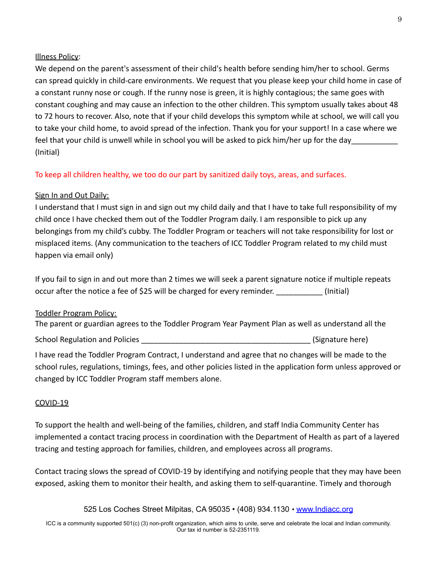#### Illness Policy:

We depend on the parent's assessment of their child's health before sending him/her to school. Germs can spread quickly in child-care environments. We request that you please keep your child home in case of a constant runny nose or cough. If the runny nose is green, it is highly contagious; the same goes with constant coughing and may cause an infection to the other children. This symptom usually takes about 48 to 72 hours to recover. Also, note that if your child develops this symptom while at school, we will call you to take your child home, to avoid spread of the infection. Thank you for your support! In a case where we feel that your child is unwell while in school you will be asked to pick him/her up for the day (Initial)

To keep all children healthy, we too do our part by sanitized daily toys, areas, and surfaces.

#### Sign In and Out Daily:

I understand that I must sign in and sign out my child daily and that I have to take full responsibility of my child once I have checked them out of the Toddler Program daily. I am responsible to pick up any belongings from my child's cubby. The Toddler Program or teachers will not take responsibility for lost or misplaced items. (Any communication to the teachers of ICC Toddler Program related to my child must happen via email only)

If you fail to sign in and out more than 2 times we will seek a parent signature notice if multiple repeats occur after the notice a fee of \$25 will be charged for every reminder. (Initial)

#### Toddler Program Policy:

The parent or guardian agrees to the Toddler Program Year Payment Plan as well as understand all the

School Regulation and Policies **Exercise 2018** (Signature here)

I have read the Toddler Program Contract, I understand and agree that no changes will be made to the school rules, regulations, timings, fees, and other policies listed in the application form unless approved or changed by ICC Toddler Program staff members alone.

#### COVID-19

To support the health and well-being of the families, children, and staff India Community Center has implemented a contact tracing process in coordination with the Department of Health as part of a layered tracing and testing approach for families, children, and employees across all programs.

Contact tracing slows the spread of COVID-19 by identifying and notifying people that they may have been exposed, asking them to monitor their health, and asking them to self-quarantine. Timely and thorough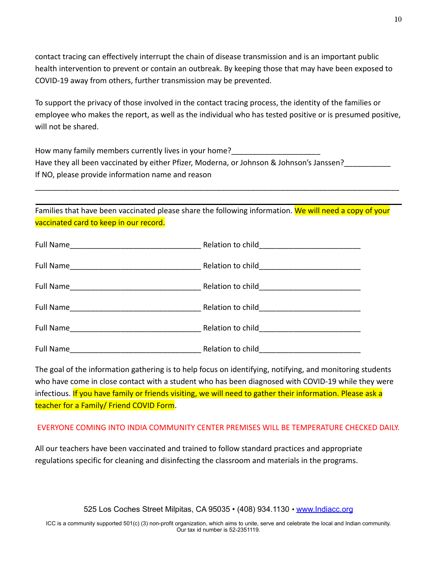contact tracing can effectively interrupt the chain of disease transmission and is an important public health intervention to prevent or contain an outbreak. By keeping those that may have been exposed to COVID-19 away from others, further transmission may be prevented.

To support the privacy of those involved in the contact tracing process, the identity of the families or employee who makes the report, as well as the individual who has tested positive or is presumed positive, will not be shared.

How many family members currently lives in your home? Have they all been vaccinated by either Pfizer, Moderna, or Johnson & Johnson's Janssen? If NO, please provide information name and reason

Families that have been vaccinated please share the following information. We will need a copy of your vaccinated card to keep in our record.

\_\_\_\_\_\_\_\_\_\_\_\_\_\_\_\_\_\_\_\_\_\_\_\_\_\_\_\_\_\_\_\_\_\_\_\_\_\_\_\_\_\_\_\_\_\_\_\_\_\_\_\_\_\_\_\_\_\_\_\_\_\_\_\_\_\_\_\_\_\_\_\_\_\_\_\_\_\_\_\_\_\_\_\_\_\_

| Full Name | Relation to child_________________________ |
|-----------|--------------------------------------------|

The goal of the information gathering is to help focus on identifying, notifying, and monitoring students who have come in close contact with a student who has been diagnosed with COVID-19 while they were infectious. If you have family or friends visiting, we will need to gather their information. Please ask a teacher for a Family/ Friend COVID Form.

## EVERYONE COMING INTO INDIA COMMUNITY CENTER PREMISES WILL BE TEMPERATURE CHECKED DAILY.

All our teachers have been vaccinated and trained to follow standard practices and appropriate regulations specific for cleaning and disinfecting the classroom and materials in the programs.